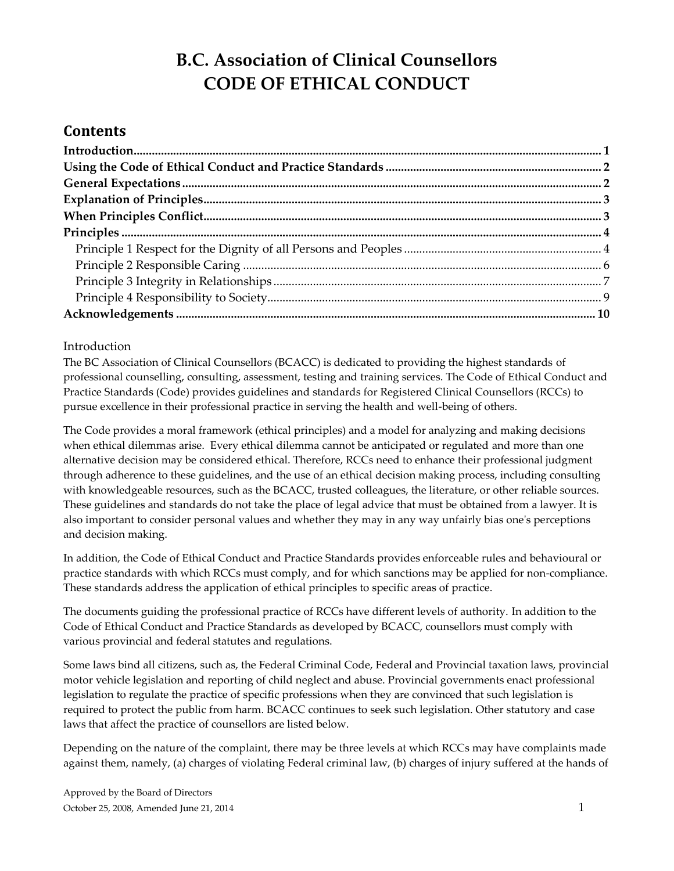# **B.C. Association of Clinical Counsellors CODE OF ETHICAL CONDUCT**

# **Contents**

### <span id="page-0-0"></span>Introduction

The BC Association of Clinical Counsellors (BCACC) is dedicated to providing the highest standards of professional counselling, consulting, assessment, testing and training services. The Code of Ethical Conduct and Practice Standards (Code) provides guidelines and standards for Registered Clinical Counsellors (RCCs) to pursue excellence in their professional practice in serving the health and well-being of others.

The Code provides a moral framework (ethical principles) and a model for analyzing and making decisions when ethical dilemmas arise. Every ethical dilemma cannot be anticipated or regulated and more than one alternative decision may be considered ethical. Therefore, RCCs need to enhance their professional judgment through adherence to these guidelines, and the use of an ethical decision making process, including consulting with knowledgeable resources, such as the BCACC, trusted colleagues, the literature, or other reliable sources. These guidelines and standards do not take the place of legal advice that must be obtained from a lawyer. It is also important to consider personal values and whether they may in any way unfairly bias one's perceptions and decision making.

In addition, the Code of Ethical Conduct and Practice Standards provides enforceable rules and behavioural or practice standards with which RCCs must comply, and for which sanctions may be applied for non-compliance. These standards address the application of ethical principles to specific areas of practice.

The documents guiding the professional practice of RCCs have different levels of authority. In addition to the Code of Ethical Conduct and Practice Standards as developed by BCACC, counsellors must comply with various provincial and federal statutes and regulations.

Some laws bind all citizens, such as, the Federal Criminal Code, Federal and Provincial taxation laws, provincial motor vehicle legislation and reporting of child neglect and abuse. Provincial governments enact professional legislation to regulate the practice of specific professions when they are convinced that such legislation is required to protect the public from harm. BCACC continues to seek such legislation. Other statutory and case laws that affect the practice of counsellors are listed below.

Depending on the nature of the complaint, there may be three levels at which RCCs may have complaints made against them, namely, (a) charges of violating Federal criminal law, (b) charges of injury suffered at the hands of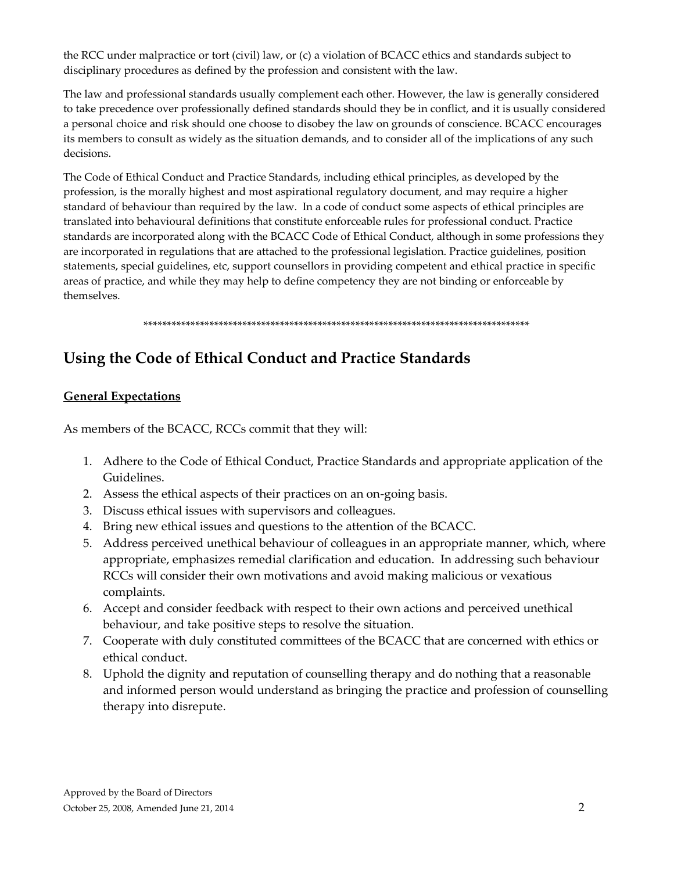the RCC under malpractice or tort (civil) law, or (c) a violation of BCACC ethics and standards subject to disciplinary procedures as defined by the profession and consistent with the law.

The law and professional standards usually complement each other. However, the law is generally considered to take precedence over professionally defined standards should they be in conflict, and it is usually considered a personal choice and risk should one choose to disobey the law on grounds of conscience. BCACC encourages its members to consult as widely as the situation demands, and to consider all of the implications of any such decisions.

The Code of Ethical Conduct and Practice Standards, including ethical principles, as developed by the profession, is the morally highest and most aspirational regulatory document, and may require a higher standard of behaviour than required by the law. In a code of conduct some aspects of ethical principles are translated into behavioural definitions that constitute enforceable rules for professional conduct. Practice standards are incorporated along with the BCACC Code of Ethical Conduct, although in some professions they are incorporated in regulations that are attached to the professional legislation. Practice guidelines, position statements, special guidelines, etc, support counsellors in providing competent and ethical practice in specific areas of practice, and while they may help to define competency they are not binding or enforceable by themselves.

#### \*\*\*\*\*\*\*\*\*\*\*\*\*\*\*\*\*\*\*\*\*\*\*\*\*\*\*\*\*\*\*\*\*\*\*\*\*\*\*\*\*\*\*\*\*\*\*\*\*\*\*\*\*\*\*\*\*\*\*\*\*\*\*\*\*\*\*\*\*\*\*\*\*\*\*\*\*\*\*\*\*\*

# <span id="page-1-0"></span>**Using the Code of Ethical Conduct and Practice Standards**

## <span id="page-1-1"></span>**General Expectations**

As members of the BCACC, RCCs commit that they will:

- 1. Adhere to the Code of Ethical Conduct, Practice Standards and appropriate application of the Guidelines.
- 2. Assess the ethical aspects of their practices on an on-going basis.
- 3. Discuss ethical issues with supervisors and colleagues.
- 4. Bring new ethical issues and questions to the attention of the BCACC.
- 5. Address perceived unethical behaviour of colleagues in an appropriate manner, which, where appropriate, emphasizes remedial clarification and education. In addressing such behaviour RCCs will consider their own motivations and avoid making malicious or vexatious complaints.
- 6. Accept and consider feedback with respect to their own actions and perceived unethical behaviour, and take positive steps to resolve the situation.
- 7. Cooperate with duly constituted committees of the BCACC that are concerned with ethics or ethical conduct.
- 8. Uphold the dignity and reputation of counselling therapy and do nothing that a reasonable and informed person would understand as bringing the practice and profession of counselling therapy into disrepute.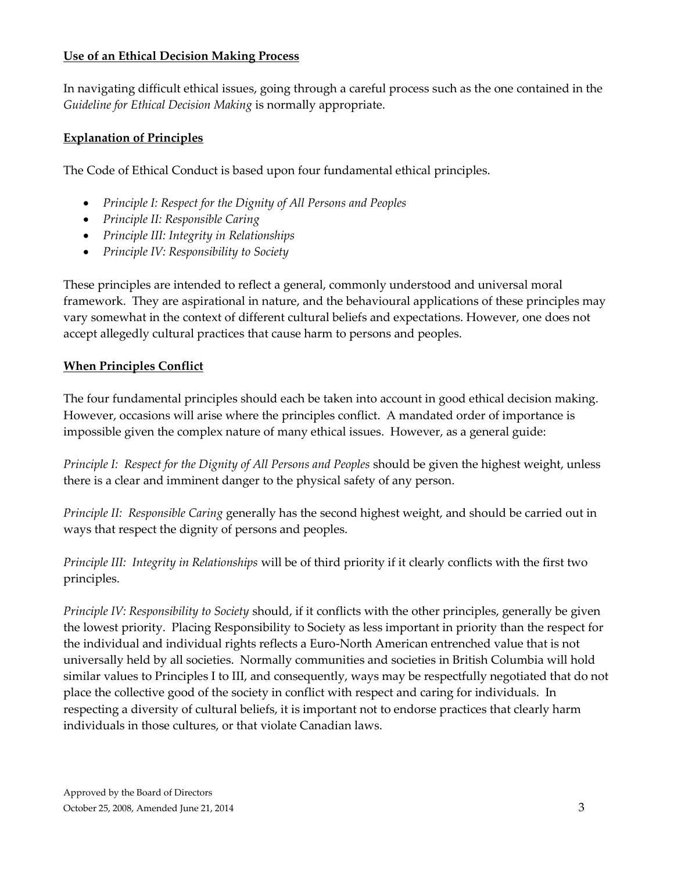## **Use of an Ethical Decision Making Process**

In navigating difficult ethical issues, going through a careful process such as the one contained in the *Guideline for Ethical Decision Making* is normally appropriate.

## <span id="page-2-0"></span>**Explanation of Principles**

The Code of Ethical Conduct is based upon four fundamental ethical principles.

- *Principle I: Respect for the Dignity of All Persons and Peoples*
- *Principle II: Responsible Caring*
- *Principle III: Integrity in Relationships*
- *Principle IV: Responsibility to Society*

These principles are intended to reflect a general, commonly understood and universal moral framework. They are aspirational in nature, and the behavioural applications of these principles may vary somewhat in the context of different cultural beliefs and expectations. However, one does not accept allegedly cultural practices that cause harm to persons and peoples.

## <span id="page-2-1"></span>**When Principles Conflict**

The four fundamental principles should each be taken into account in good ethical decision making. However, occasions will arise where the principles conflict. A mandated order of importance is impossible given the complex nature of many ethical issues. However, as a general guide:

*Principle I: Respect for the Dignity of All Persons and Peoples* should be given the highest weight, unless there is a clear and imminent danger to the physical safety of any person.

*Principle II: Responsible Caring* generally has the second highest weight, and should be carried out in ways that respect the dignity of persons and peoples.

*Principle III: Integrity in Relationships* will be of third priority if it clearly conflicts with the first two principles.

<span id="page-2-2"></span>*Principle IV: Responsibility to Society* should, if it conflicts with the other principles, generally be given the lowest priority. Placing Responsibility to Society as less important in priority than the respect for the individual and individual rights reflects a Euro-North American entrenched value that is not universally held by all societies. Normally communities and societies in British Columbia will hold similar values to Principles I to III, and consequently, ways may be respectfully negotiated that do not place the collective good of the society in conflict with respect and caring for individuals. In respecting a diversity of cultural beliefs, it is important not to endorse practices that clearly harm individuals in those cultures, or that violate Canadian laws.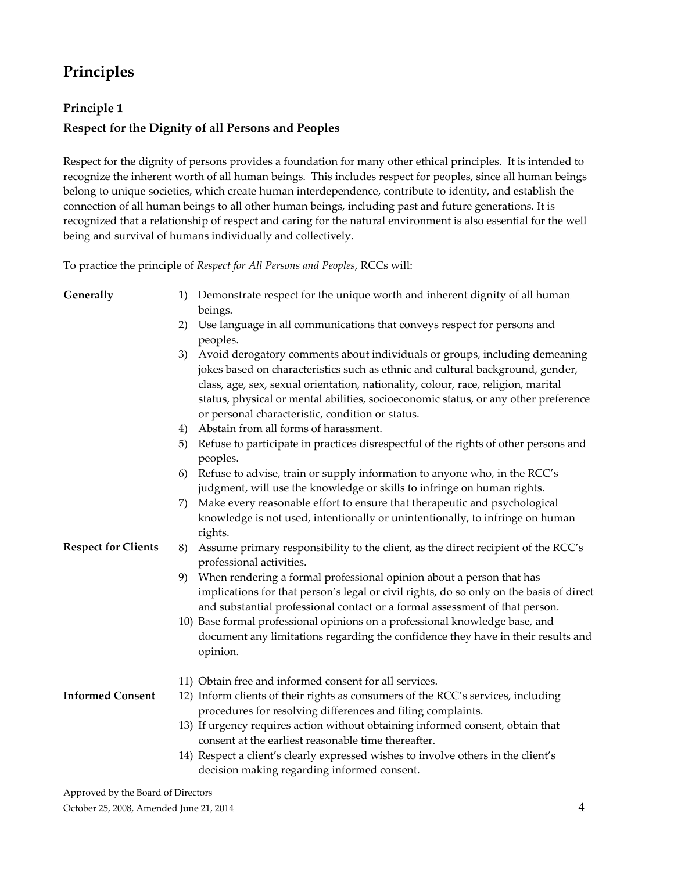# **Principles**

# <span id="page-3-0"></span>**Principle 1 Respect for the Dignity of all Persons and Peoples**

Respect for the dignity of persons provides a foundation for many other ethical principles. It is intended to recognize the inherent worth of all human beings. This includes respect for peoples, since all human beings belong to unique societies, which create human interdependence, contribute to identity, and establish the connection of all human beings to all other human beings, including past and future generations. It is recognized that a relationship of respect and caring for the natural environment is also essential for the well being and survival of humans individually and collectively.

To practice the principle of *Respect for All Persons and Peoples*, RCCs will:

- **Generally** 1) Demonstrate respect for the unique worth and inherent dignity of all human beings.
	- 2) Use language in all communications that conveys respect for persons and peoples.
	- 3) Avoid derogatory comments about individuals or groups, including demeaning jokes based on characteristics such as ethnic and cultural background, gender, class, age, sex, sexual orientation, nationality, colour, race, religion, marital status, physical or mental abilities, socioeconomic status, or any other preference or personal characteristic, condition or status.
	- 4) Abstain from all forms of harassment.
	- 5) Refuse to participate in practices disrespectful of the rights of other persons and peoples.
	- 6) Refuse to advise, train or supply information to anyone who, in the RCC's judgment, will use the knowledge or skills to infringe on human rights.
	- 7) Make every reasonable effort to ensure that therapeutic and psychological knowledge is not used, intentionally or unintentionally, to infringe on human rights.
	- 8) Assume primary responsibility to the client, as the direct recipient of the RCC's professional activities.
		- 9) When rendering a formal professional opinion about a person that has implications for that person's legal or civil rights, do so only on the basis of direct and substantial professional contact or a formal assessment of that person.
		- 10) Base formal professional opinions on a professional knowledge base, and document any limitations regarding the confidence they have in their results and opinion.
		- 11) Obtain free and informed consent for all services.
- **Informed Consent**

**Respect for Clients**

- 12) Inform clients of their rights as consumers of the RCC's services, including procedures for resolving differences and filing complaints.
- 13) If urgency requires action without obtaining informed consent, obtain that consent at the earliest reasonable time thereafter.
- 14) Respect a client's clearly expressed wishes to involve others in the client's decision making regarding informed consent.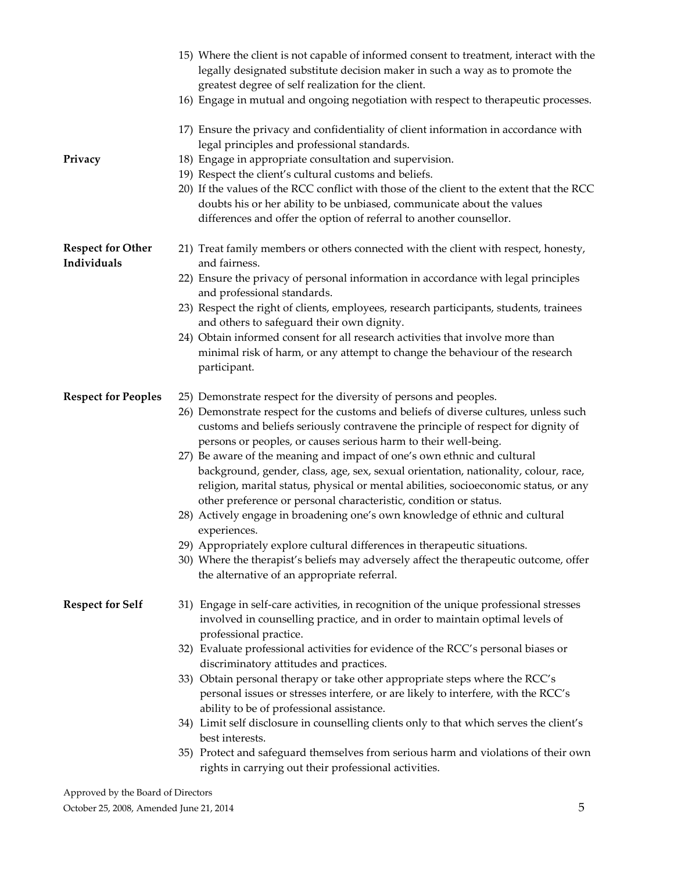|                                         | 15) Where the client is not capable of informed consent to treatment, interact with the<br>legally designated substitute decision maker in such a way as to promote the<br>greatest degree of self realization for the client.              |
|-----------------------------------------|---------------------------------------------------------------------------------------------------------------------------------------------------------------------------------------------------------------------------------------------|
|                                         | 16) Engage in mutual and ongoing negotiation with respect to therapeutic processes.                                                                                                                                                         |
|                                         | 17) Ensure the privacy and confidentiality of client information in accordance with<br>legal principles and professional standards.                                                                                                         |
| Privacy                                 | 18) Engage in appropriate consultation and supervision.                                                                                                                                                                                     |
|                                         | 19) Respect the client's cultural customs and beliefs.                                                                                                                                                                                      |
|                                         | 20) If the values of the RCC conflict with those of the client to the extent that the RCC                                                                                                                                                   |
|                                         | doubts his or her ability to be unbiased, communicate about the values                                                                                                                                                                      |
|                                         | differences and offer the option of referral to another counsellor.                                                                                                                                                                         |
| <b>Respect for Other</b><br>Individuals | 21) Treat family members or others connected with the client with respect, honesty,<br>and fairness.                                                                                                                                        |
|                                         | 22) Ensure the privacy of personal information in accordance with legal principles<br>and professional standards.                                                                                                                           |
|                                         | 23) Respect the right of clients, employees, research participants, students, trainees<br>and others to safeguard their own dignity.                                                                                                        |
|                                         | 24) Obtain informed consent for all research activities that involve more than                                                                                                                                                              |
|                                         | minimal risk of harm, or any attempt to change the behaviour of the research<br>participant.                                                                                                                                                |
| <b>Respect for Peoples</b>              | 25) Demonstrate respect for the diversity of persons and peoples.                                                                                                                                                                           |
|                                         | 26) Demonstrate respect for the customs and beliefs of diverse cultures, unless such<br>customs and beliefs seriously contravene the principle of respect for dignity of<br>persons or peoples, or causes serious harm to their well-being. |
|                                         | 27) Be aware of the meaning and impact of one's own ethnic and cultural                                                                                                                                                                     |
|                                         | background, gender, class, age, sex, sexual orientation, nationality, colour, race,                                                                                                                                                         |
|                                         | religion, marital status, physical or mental abilities, socioeconomic status, or any<br>other preference or personal characteristic, condition or status.                                                                                   |
|                                         | 28) Actively engage in broadening one's own knowledge of ethnic and cultural<br>experiences.                                                                                                                                                |
|                                         | 29) Appropriately explore cultural differences in therapeutic situations.                                                                                                                                                                   |
|                                         | 30) Where the therapist's beliefs may adversely affect the therapeutic outcome, offer                                                                                                                                                       |
|                                         | the alternative of an appropriate referral.                                                                                                                                                                                                 |
| <b>Respect for Self</b>                 | 31) Engage in self-care activities, in recognition of the unique professional stresses                                                                                                                                                      |
|                                         | involved in counselling practice, and in order to maintain optimal levels of                                                                                                                                                                |
|                                         | professional practice.                                                                                                                                                                                                                      |
|                                         | 32) Evaluate professional activities for evidence of the RCC's personal biases or                                                                                                                                                           |
|                                         | discriminatory attitudes and practices.                                                                                                                                                                                                     |
|                                         | 33) Obtain personal therapy or take other appropriate steps where the RCC's                                                                                                                                                                 |
|                                         | personal issues or stresses interfere, or are likely to interfere, with the RCC's                                                                                                                                                           |
|                                         | ability to be of professional assistance.                                                                                                                                                                                                   |
|                                         | 34) Limit self disclosure in counselling clients only to that which serves the client's<br>best interests.                                                                                                                                  |
|                                         | 35) Protect and safeguard themselves from serious harm and violations of their own                                                                                                                                                          |
|                                         | rights in carrying out their professional activities.                                                                                                                                                                                       |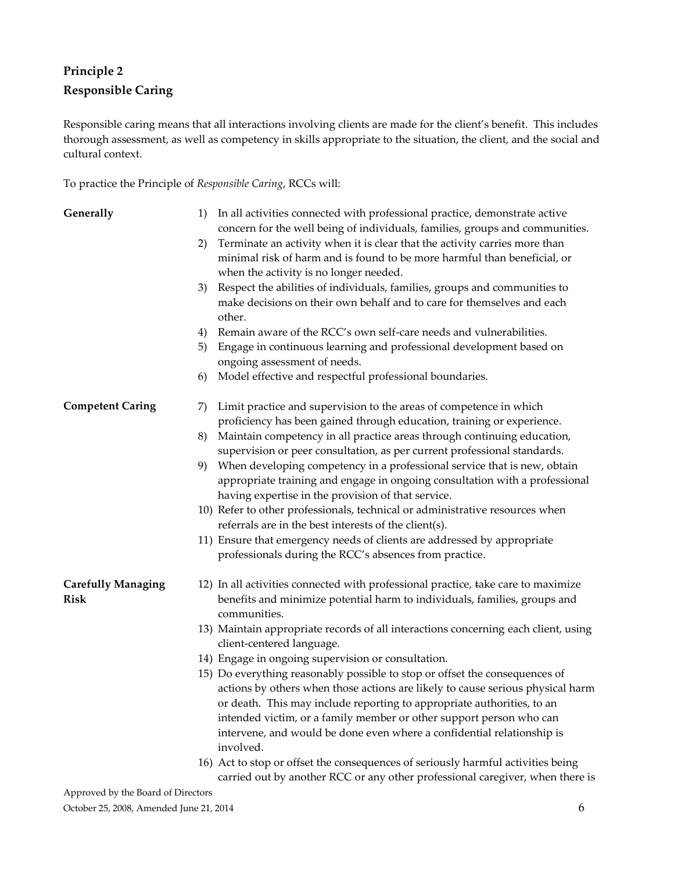# <span id="page-5-0"></span>**Principle 2**

# **Responsible Caring**

Responsible caring means that all interactions involving clients are made for the client's benefit. This includes thorough assessment, as well as competency in skills appropriate to the situation, the client, and the social and cultural context.

To practice the Principle of *Responsible Caring*, RCCs will:

| Generally                                | 1) | In all activities connected with professional practice, demonstrate active<br>concern for the well being of individuals, families, groups and communities.                                                    |
|------------------------------------------|----|---------------------------------------------------------------------------------------------------------------------------------------------------------------------------------------------------------------|
|                                          | 2) | Terminate an activity when it is clear that the activity carries more than<br>minimal risk of harm and is found to be more harmful than beneficial, or<br>when the activity is no longer needed.              |
|                                          | 3) | Respect the abilities of individuals, families, groups and communities to                                                                                                                                     |
|                                          |    | make decisions on their own behalf and to care for themselves and each<br>other.                                                                                                                              |
|                                          | 4) | Remain aware of the RCC's own self-care needs and vulnerabilities.                                                                                                                                            |
|                                          | 5) | Engage in continuous learning and professional development based on<br>ongoing assessment of needs.                                                                                                           |
|                                          | 6) | Model effective and respectful professional boundaries.                                                                                                                                                       |
| <b>Competent Caring</b>                  | 7) | Limit practice and supervision to the areas of competence in which<br>proficiency has been gained through education, training or experience.                                                                  |
|                                          | 8) | Maintain competency in all practice areas through continuing education,<br>supervision or peer consultation, as per current professional standards.                                                           |
|                                          | 9) | When developing competency in a professional service that is new, obtain<br>appropriate training and engage in ongoing consultation with a professional<br>having expertise in the provision of that service. |
|                                          |    | 10) Refer to other professionals, technical or administrative resources when<br>referrals are in the best interests of the client(s).                                                                         |
|                                          |    | 11) Ensure that emergency needs of clients are addressed by appropriate<br>professionals during the RCC's absences from practice.                                                                             |
| <b>Carefully Managing</b><br><b>Risk</b> |    | 12) In all activities connected with professional practice, take care to maximize<br>benefits and minimize potential harm to individuals, families, groups and<br>communities.                                |
|                                          |    | 13) Maintain appropriate records of all interactions concerning each client, using<br>client-centered language.                                                                                               |
|                                          |    | 14) Engage in ongoing supervision or consultation.                                                                                                                                                            |
|                                          |    | 15) Do everything reasonably possible to stop or offset the consequences of                                                                                                                                   |
|                                          |    | actions by others when those actions are likely to cause serious physical harm                                                                                                                                |
|                                          |    | or death. This may include reporting to appropriate authorities, to an                                                                                                                                        |
|                                          |    | intended victim, or a family member or other support person who can<br>intervene, and would be done even where a confidential relationship is<br>involved.                                                    |
|                                          |    | 16) Act to stop or offset the consequences of seriously harmful activities being                                                                                                                              |
|                                          |    | carried out by another RCC or any other professional caregiver, when there is                                                                                                                                 |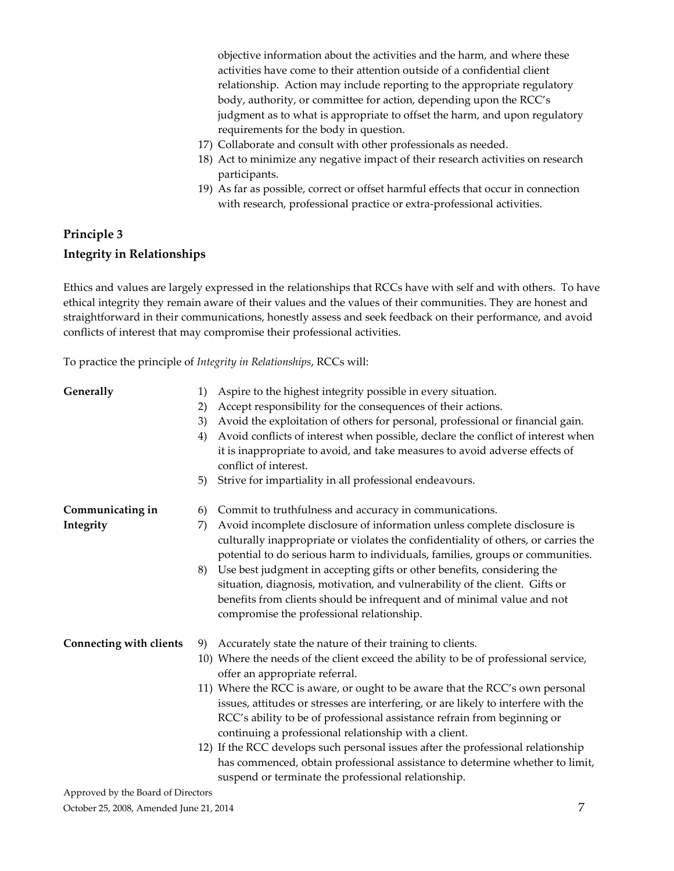objective information about the activities and the harm, and where these activities have come to their attention outside of a confidential client relationship. Action may include reporting to the appropriate regulatory body, authority, or committee for action, depending upon the RCC's judgment as to what is appropriate to offset the harm, and upon regulatory requirements for the body in question.

- 17) Collaborate and consult with other professionals as needed.
- 18) Act to minimize any negative impact of their research activities on research participants.
- 19) As far as possible, correct or offset harmful effects that occur in connection with research, professional practice or extra-professional activities.

# <span id="page-6-0"></span>**Principle 3 Integrity in Relationships**

Ethics and values are largely expressed in the relationships that RCCs have with self and with others. To have ethical integrity they remain aware of their values and the values of their communities. They are honest and straightforward in their communications, honestly assess and seek feedback on their performance, and avoid conflicts of interest that may compromise their professional activities.

To practice the principle of *Integrity in Relationships*, RCCs will:

| Generally                      | 1)<br>2)<br>3)<br>4)<br>5) | Aspire to the highest integrity possible in every situation.<br>Accept responsibility for the consequences of their actions.<br>Avoid the exploitation of others for personal, professional or financial gain.<br>Avoid conflicts of interest when possible, declare the conflict of interest when<br>it is inappropriate to avoid, and take measures to avoid adverse effects of<br>conflict of interest.<br>Strive for impartiality in all professional endeavours.                                                                                                                                                                                                                                                    |
|--------------------------------|----------------------------|--------------------------------------------------------------------------------------------------------------------------------------------------------------------------------------------------------------------------------------------------------------------------------------------------------------------------------------------------------------------------------------------------------------------------------------------------------------------------------------------------------------------------------------------------------------------------------------------------------------------------------------------------------------------------------------------------------------------------|
| Communicating in<br>Integrity  | 6)<br>7)                   | Commit to truthfulness and accuracy in communications.<br>Avoid incomplete disclosure of information unless complete disclosure is<br>culturally inappropriate or violates the confidentiality of others, or carries the<br>potential to do serious harm to individuals, families, groups or communities.                                                                                                                                                                                                                                                                                                                                                                                                                |
|                                | 8)                         | Use best judgment in accepting gifts or other benefits, considering the<br>situation, diagnosis, motivation, and vulnerability of the client. Gifts or<br>benefits from clients should be infrequent and of minimal value and not<br>compromise the professional relationship.                                                                                                                                                                                                                                                                                                                                                                                                                                           |
| <b>Connecting with clients</b> | 9)                         | Accurately state the nature of their training to clients.<br>10) Where the needs of the client exceed the ability to be of professional service,<br>offer an appropriate referral.<br>11) Where the RCC is aware, or ought to be aware that the RCC's own personal<br>issues, attitudes or stresses are interfering, or are likely to interfere with the<br>RCC's ability to be of professional assistance refrain from beginning or<br>continuing a professional relationship with a client.<br>12) If the RCC develops such personal issues after the professional relationship<br>has commenced, obtain professional assistance to determine whether to limit,<br>suspend or terminate the professional relationship. |
|                                |                            |                                                                                                                                                                                                                                                                                                                                                                                                                                                                                                                                                                                                                                                                                                                          |

Approved by the Board of Directors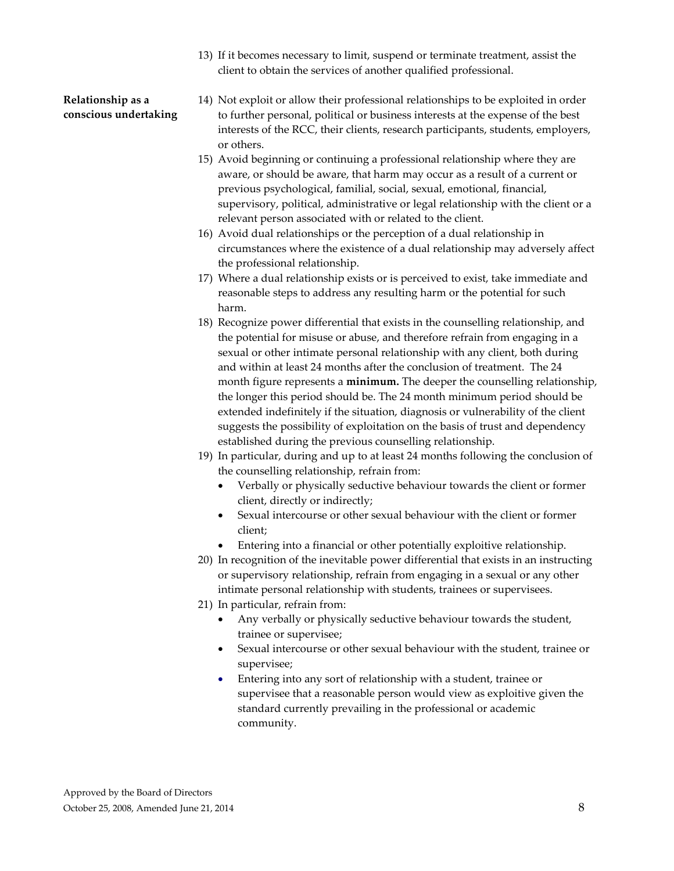13) If it becomes necessary to limit, suspend or terminate treatment, assist the client to obtain the services of another qualified professional.

### **Relationship as a conscious undertaking**

- 14) Not exploit or allow their professional relationships to be exploited in order to further personal, political or business interests at the expense of the best interests of the RCC, their clients, research participants, students, employers, or others.
- 15) Avoid beginning or continuing a professional relationship where they are aware, or should be aware, that harm may occur as a result of a current or previous psychological, familial, social, sexual, emotional, financial, supervisory, political, administrative or legal relationship with the client or a relevant person associated with or related to the client.
- 16) Avoid dual relationships or the perception of a dual relationship in circumstances where the existence of a dual relationship may adversely affect the professional relationship.
- 17) Where a dual relationship exists or is perceived to exist, take immediate and reasonable steps to address any resulting harm or the potential for such harm.
- 18) Recognize power differential that exists in the counselling relationship, and the potential for misuse or abuse, and therefore refrain from engaging in a sexual or other intimate personal relationship with any client, both during and within at least 24 months after the conclusion of treatment. The 24 month figure represents a **minimum.** The deeper the counselling relationship, the longer this period should be. The 24 month minimum period should be extended indefinitely if the situation, diagnosis or vulnerability of the client suggests the possibility of exploitation on the basis of trust and dependency established during the previous counselling relationship.
- 19) In particular, during and up to at least 24 months following the conclusion of the counselling relationship, refrain from:
	- Verbally or physically seductive behaviour towards the client or former client, directly or indirectly;
	- Sexual intercourse or other sexual behaviour with the client or former client;
	- Entering into a financial or other potentially exploitive relationship.
- 20) In recognition of the inevitable power differential that exists in an instructing or supervisory relationship, refrain from engaging in a sexual or any other intimate personal relationship with students, trainees or supervisees.
- 21) In particular, refrain from:
	- Any verbally or physically seductive behaviour towards the student, trainee or supervisee;
	- Sexual intercourse or other sexual behaviour with the student, trainee or supervisee;
	- Entering into any sort of relationship with a student, trainee or supervisee that a reasonable person would view as exploitive given the standard currently prevailing in the professional or academic community.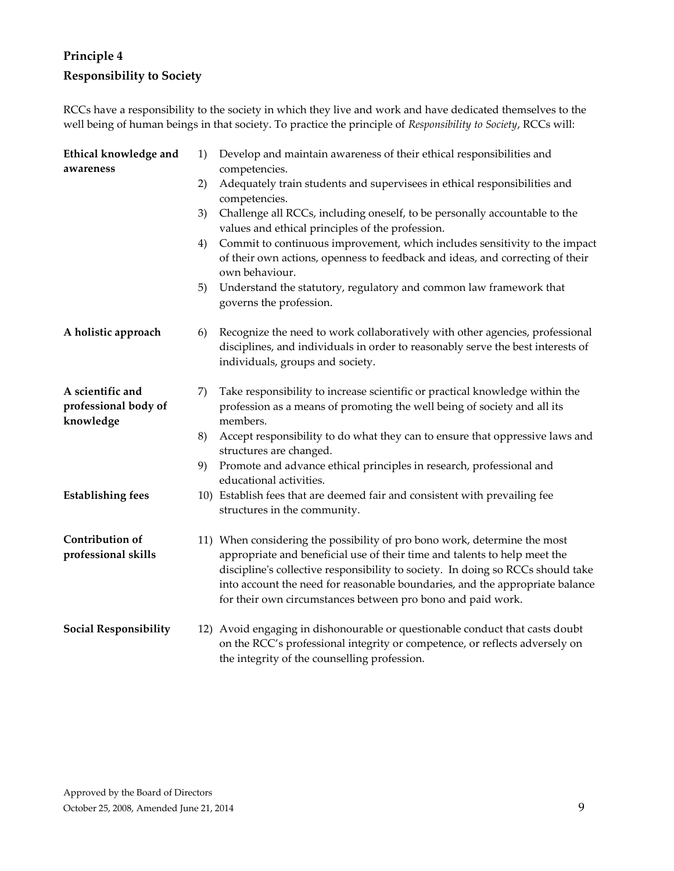# <span id="page-8-0"></span>**Principle 4 Responsibility to Society**

RCCs have a responsibility to the society in which they live and work and have dedicated themselves to the well being of human beings in that society. To practice the principle of *Responsibility to Society*, RCCs will:

<span id="page-8-1"></span>

| Ethical knowledge and<br>awareness                    | 1) | Develop and maintain awareness of their ethical responsibilities and<br>competencies.                                                                                                                                                                                                                                                                                                    |
|-------------------------------------------------------|----|------------------------------------------------------------------------------------------------------------------------------------------------------------------------------------------------------------------------------------------------------------------------------------------------------------------------------------------------------------------------------------------|
|                                                       | 2) | Adequately train students and supervisees in ethical responsibilities and<br>competencies.                                                                                                                                                                                                                                                                                               |
|                                                       | 3) | Challenge all RCCs, including oneself, to be personally accountable to the<br>values and ethical principles of the profession.                                                                                                                                                                                                                                                           |
|                                                       | 4) | Commit to continuous improvement, which includes sensitivity to the impact<br>of their own actions, openness to feedback and ideas, and correcting of their<br>own behaviour.                                                                                                                                                                                                            |
|                                                       | 5) | Understand the statutory, regulatory and common law framework that<br>governs the profession.                                                                                                                                                                                                                                                                                            |
| A holistic approach                                   | 6) | Recognize the need to work collaboratively with other agencies, professional<br>disciplines, and individuals in order to reasonably serve the best interests of<br>individuals, groups and society.                                                                                                                                                                                      |
| A scientific and<br>professional body of<br>knowledge | 7) | Take responsibility to increase scientific or practical knowledge within the<br>profession as a means of promoting the well being of society and all its<br>members.                                                                                                                                                                                                                     |
|                                                       | 8) | Accept responsibility to do what they can to ensure that oppressive laws and<br>structures are changed.                                                                                                                                                                                                                                                                                  |
|                                                       | 9) | Promote and advance ethical principles in research, professional and<br>educational activities.                                                                                                                                                                                                                                                                                          |
| <b>Establishing fees</b>                              |    | 10) Establish fees that are deemed fair and consistent with prevailing fee<br>structures in the community.                                                                                                                                                                                                                                                                               |
| Contribution of<br>professional skills                |    | 11) When considering the possibility of pro bono work, determine the most<br>appropriate and beneficial use of their time and talents to help meet the<br>discipline's collective responsibility to society. In doing so RCCs should take<br>into account the need for reasonable boundaries, and the appropriate balance<br>for their own circumstances between pro bono and paid work. |
| <b>Social Responsibility</b>                          |    | 12) Avoid engaging in dishonourable or questionable conduct that casts doubt<br>on the RCC's professional integrity or competence, or reflects adversely on<br>the integrity of the counselling profession.                                                                                                                                                                              |